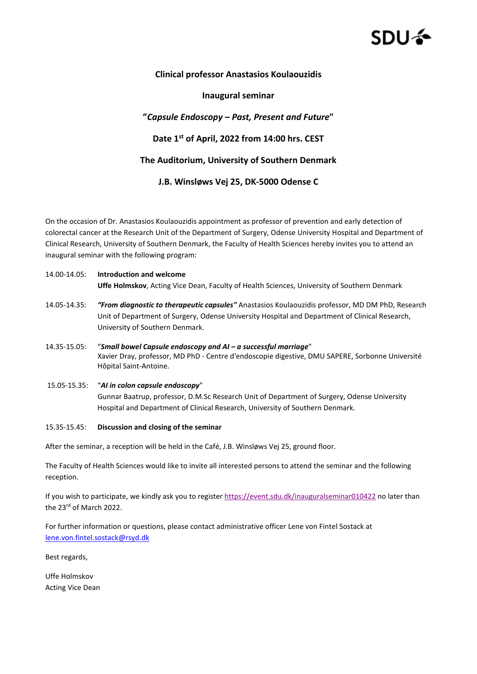# SDU 4

## **Clinical professor Anastasios Koulaouzidis**

### **Inaugural seminar**

## **"***Capsule Endoscopy – Past, Present and Future***"**

**Date 1st of April, 2022 from 14:00 hrs. CEST**

#### **The Auditorium, University of Southern Denmark**

**J.B. Winsløws Vej 25, DK-5000 Odense C**

On the occasion of Dr. Anastasios Koulaouzidis appointment as professor of prevention and early detection of colorectal cancer at the Research Unit of the Department of Surgery, Odense University Hospital and Department of Clinical Research, University of Southern Denmark, the Faculty of Health Sciences hereby invites you to attend an inaugural seminar with the following program:

## 14.00-14.05: **Introduction and welcome Uffe Holmskov**, Acting Vice Dean, Faculty of Health Sciences, University of Southern Denmark

- 14.05-14.35: *"From diagnostic to therapeutic capsules"* Anastasios Koulaouzidis professor, MD DM PhD, Research Unit of Department of Surgery, Odense University Hospital and Department of Clinical Research, University of Southern Denmark.
- 14.35-15.05: "*Small bowel Capsule endoscopy and AI – a successful marriage*" Xavier Dray, professor, MD PhD - Centre d'endoscopie digestive, DMU SAPERE, Sorbonne Université Hôpital Saint-Antoine.
- 15.05-15.35: "*AI in colon capsule endoscopy*" Gunnar Baatrup, professor, D.M.Sc Research Unit of Department of Surgery, Odense University Hospital and Department of Clinical Research, University of Southern Denmark.

#### 15.35-15.45: **Discussion and closing of the seminar**

After the seminar, a reception will be held in the Café, J.B. Winsløws Vej 25, ground floor.

The Faculty of Health Sciences would like to invite all interested persons to attend the seminar and the following reception.

If you wish to participate, we kindly ask you to register <https://event.sdu.dk/inauguralseminar010422> no later than the 23<sup>rd</sup> of March 2022.

For further information or questions, please contact administrative officer Lene von Fintel Sostack at [lene.von.fintel.sostack@rsyd.dk](mailto:lene.von.fintel.sostack@rsyd.dk)

Best regards,

Uffe Holmskov Acting Vice Dean